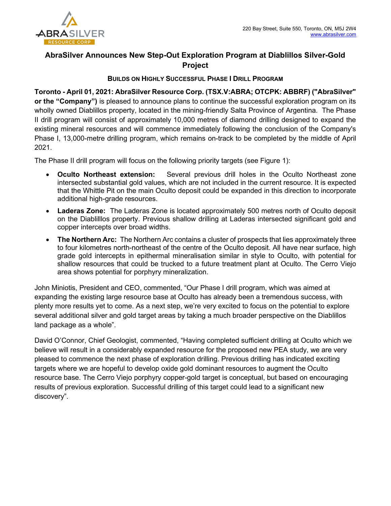

# AbraSilver Announces New Step-Out Exploration Program at Diablillos Silver-Gold Project

## BUILDS ON HIGHLY SUCCESSFUL PHASE I DRILL PROGRAM

Toronto - April 01, 2021: AbraSilver Resource Corp. (TSX.V:ABRA; OTCPK: ABBRF) ("AbraSilver" or the "Company") is pleased to announce plans to continue the successful exploration program on its wholly owned Diablillos property, located in the mining-friendly Salta Province of Argentina. The Phase II drill program will consist of approximately 10,000 metres of diamond drilling designed to expand the existing mineral resources and will commence immediately following the conclusion of the Company's Phase I, 13,000-metre drilling program, which remains on-track to be completed by the middle of April 2021.

The Phase II drill program will focus on the following priority targets (see Figure 1):

- Oculto Northeast extension: Several previous drill holes in the Oculto Northeast zone intersected substantial gold values, which are not included in the current resource. It is expected that the Whittle Pit on the main Oculto deposit could be expanded in this direction to incorporate additional high-grade resources.
- Laderas Zone: The Laderas Zone is located approximately 500 metres north of Oculto deposit on the Diablilllos property. Previous shallow drilling at Laderas intersected significant gold and copper intercepts over broad widths.
- The Northern Arc: The Northern Arc contains a cluster of prospects that lies approximately three to four kilometres north-northeast of the centre of the Oculto deposit. All have near surface, high grade gold intercepts in epithermal mineralisation similar in style to Oculto, with potential for shallow resources that could be trucked to a future treatment plant at Oculto. The Cerro Viejo area shows potential for porphyry mineralization.

John Miniotis, President and CEO, commented, "Our Phase I drill program, which was aimed at expanding the existing large resource base at Oculto has already been a tremendous success, with plenty more results yet to come. As a next step, we're very excited to focus on the potential to explore several additional silver and gold target areas by taking a much broader perspective on the Diablillos land package as a whole".

David O'Connor, Chief Geologist, commented, "Having completed sufficient drilling at Oculto which we believe will result in a considerably expanded resource for the proposed new PEA study, we are very pleased to commence the next phase of exploration drilling. Previous drilling has indicated exciting targets where we are hopeful to develop oxide gold dominant resources to augment the Oculto resource base. The Cerro Viejo porphyry copper-gold target is conceptual, but based on encouraging results of previous exploration. Successful drilling of this target could lead to a significant new discovery".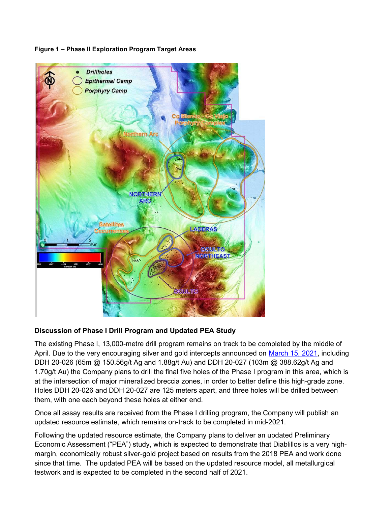

## Figure 1 – Phase II Exploration Program Target Areas

# Discussion of Phase I Drill Program and Updated PEA Study

The existing Phase I, 13,000-metre drill program remains on track to be completed by the middle of April. Due to the very encouraging silver and gold intercepts announced on March 15, 2021, including DDH 20-026 (65m @ 150.56g/t Ag and 1.88g/t Au) and DDH 20-027 (103m @ 388.62g/t Ag and 1.70g/t Au) the Company plans to drill the final five holes of the Phase I program in this area, which is at the intersection of major mineralized breccia zones, in order to better define this high-grade zone. Holes DDH 20-026 and DDH 20-027 are 125 meters apart, and three holes will be drilled between them, with one each beyond these holes at either end.

Once all assay results are received from the Phase I drilling program, the Company will publish an updated resource estimate, which remains on-track to be completed in mid-2021.

Following the updated resource estimate, the Company plans to deliver an updated Preliminary Economic Assessment ("PEA") study, which is expected to demonstrate that Diablillos is a very highmargin, economically robust silver-gold project based on results from the 2018 PEA and work done since that time. The updated PEA will be based on the updated resource model, all metallurgical testwork and is expected to be completed in the second half of 2021.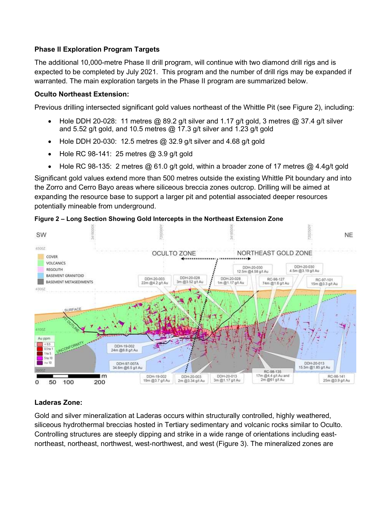# Phase II Exploration Program Targets

The additional 10,000-metre Phase II drill program, will continue with two diamond drill rigs and is expected to be completed by July 2021. This program and the number of drill rigs may be expanded if warranted. The main exploration targets in the Phase II program are summarized below.

## Oculto Northeast Extension:

Previous drilling intersected significant gold values northeast of the Whittle Pit (see Figure 2), including:

- Hole DDH 20-028: 11 metres @ 89.2 g/t silver and 1.17 g/t gold, 3 metres @ 37.4 g/t silver and 5.52 g/t gold, and 10.5 metres  $@$  17.3 g/t silver and 1.23 g/t gold
- $\bullet$  Hole DDH 20-030: 12.5 metres @ 32.9 g/t silver and 4.68 g/t gold
- $\bullet$  Hole RC 98-141: 25 metres @ 3.9 g/t gold
- Hole RC 98-135: 2 metres  $@$  61.0 g/t gold, within a broader zone of 17 metres  $@$  4.4g/t gold

Significant gold values extend more than 500 metres outside the existing Whittle Pit boundary and into the Zorro and Cerro Bayo areas where siliceous breccia zones outcrop. Drilling will be aimed at expanding the resource base to support a larger pit and potential associated deeper resources potentially mineable from underground.



#### Figure 2 – Long Section Showing Gold Intercepts in the Northeast Extension Zone

# Laderas Zone:

Gold and silver mineralization at Laderas occurs within structurally controlled, highly weathered, siliceous hydrothermal breccias hosted in Tertiary sedimentary and volcanic rocks similar to Oculto. Controlling structures are steeply dipping and strike in a wide range of orientations including eastnortheast, northeast, northwest, west-northwest, and west (Figure 3). The mineralized zones are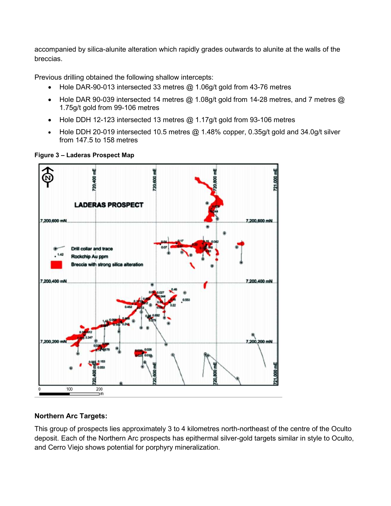accompanied by silica-alunite alteration which rapidly grades outwards to alunite at the walls of the breccias.

Previous drilling obtained the following shallow intercepts:

- Hole DAR-90-013 intersected 33 metres  $@$  1.06g/t gold from 43-76 metres
- Hole DAR 90-039 intersected 14 metres  $@$  1.08g/t gold from 14-28 metres, and 7 metres  $@$ 1.75g/t gold from 99-106 metres
- Hole DDH 12-123 intersected 13 metres @ 1.17g/t gold from 93-106 metres
- Hole DDH 20-019 intersected 10.5 metres  $@$  1.48% copper, 0.35g/t gold and 34.0g/t silver from 147.5 to 158 metres



Figure 3 – Laderas Prospect Map

# Northern Arc Targets:

This group of prospects lies approximately 3 to 4 kilometres north-northeast of the centre of the Oculto deposit. Each of the Northern Arc prospects has epithermal silver-gold targets similar in style to Oculto, and Cerro Viejo shows potential for porphyry mineralization.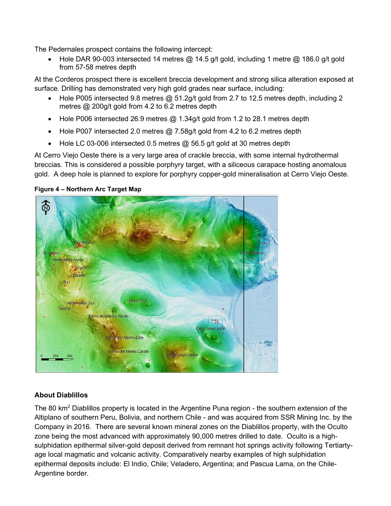The Pedernales prospect contains the following intercept:

• Hole DAR 90-003 intersected 14 metres @ 14.5 g/t gold, including 1 metre @ 186.0 g/t gold from 57-58 metres depth

At the Corderos prospect there is excellent breccia development and strong silica alteration exposed at surface. Drilling has demonstrated very high gold grades near surface, including:

- Hole P005 intersected 9.8 metres  $@$  51.2g/t gold from 2.7 to 12.5 metres depth, including 2 metres @ 200g/t gold from 4.2 to 6.2 metres depth
- Hole P006 intersected 26.9 metres  $@$  1.34g/t gold from 1.2 to 28.1 metres depth
- Hole P007 intersected 2.0 metres  $@$  7.58g/t gold from 4.2 to 6.2 metres depth
- $\bullet$  Hole LC 03-006 intersected 0.5 metres  $@$  56.5 g/t gold at 30 metres depth

At Cerro Viejo Oeste there is a very large area of crackle breccia, with some internal hydrothermal breccias. This is considered a possible porphyry target, with a siliceous carapace hosting anomalous gold. A deep hole is planned to explore for porphyry copper-gold mineralisation at Cerro Viejo Oeste.

## Figure 4 – Northern Arc Target Map



# About Diablillos

The 80 km<sup>2</sup> Diablillos property is located in the Argentine Puna region - the southern extension of the Altiplano of southern Peru, Bolivia, and northern Chile - and was acquired from SSR Mining Inc. by the Company in 2016. There are several known mineral zones on the Diablillos property, with the Oculto zone being the most advanced with approximately 90,000 metres drilled to date. Oculto is a highsulphidation epithermal silver-gold deposit derived from remnant hot springs activity following Tertiartyage local magmatic and volcanic activity. Comparatively nearby examples of high sulphidation epithermal deposits include: El Indio, Chile; Veladero, Argentina; and Pascua Lama, on the Chile-Argentine border.